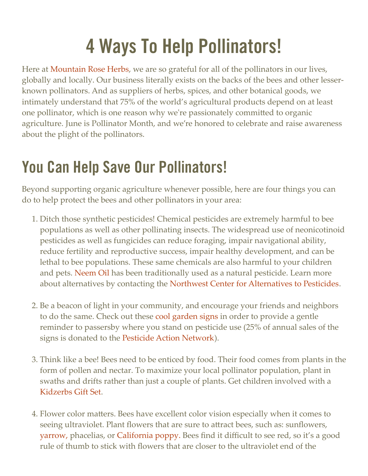# 4 Ways To Help Pollinators!

Here at [Mountain Rose Herbs](https://www.mountainroseherbs.com/), we are so grateful for all of the pollinators in our lives, globally and locally. Our business literally exists on the backs of the bees and other lesserknown pollinators. And as suppliers of herbs, spices, and other botanical goods, we intimately understand that 75% of the world's agricultural products depend on at least one pollinator, which is one reason why we're passionately committed to organic agriculture. June is Pollinator Month, and we're honored to celebrate and raise awareness about the plight of the pollinators.

## You Can Help Save Our Pollinators!

Beyond supporting organic agriculture whenever possible, here are four things you can do to help protect the bees and other pollinators in your area:

- 1. Ditch those synthetic pesticides! Chemical pesticides are extremely harmful to bee populations as well as other pollinating insects. The widespread use of neonicotinoid pesticides as well as fungicides can reduce foraging, impair navigational ability, reduce fertility and reproductive success, impair healthy development, and can be lethal to bee populations. These same chemicals are also harmful to your children and pets. [Neem Oil](https://www.mountainroseherbs.com/products/neem-oil/profile) has been traditionally used as a natural pesticide. Learn more about alternatives by contacting the [Northwest Center for Alternatives to Pesticides](http://www.pesticide.org/).
- 2. Be a beacon of light in your community, and encourage your friends and neighbors to do the same. Check out these [cool garden signs](https://www.mountainroseherbs.com/catalog/home-goods/merchandise#product-682) in order to provide a gentle reminder to passersby where you stand on pesticide use (25% of annual sales of the signs is donated to the [Pesticide Action Network\)](http://www.panna.org/).
- 3. Think like a bee! Bees need to be enticed by food. Their food comes from plants in the form of pollen and nectar. To maximize your local pollinator population, plant in swaths and drifts rather than just a couple of plants. Get children involved with a [Kidzerbs Gift Set](https://www.mountainroseherbs.com/catalog/home-goods/seeds#product-882).
- 4. Flower color matters. Bees have excellent color vision especially when it comes to seeing ultraviolet. Plant flowers that are sure to attract bees, such as: sunflowers, [yarrow,](https://www.mountainroseherbs.com/products/yarrow-seeds/profile) phacelias, or [California poppy.](https://www.mountainroseherbs.com/products/california-poppy-seeds/profile) Bees find it difficult to see red, so it's a good rule of thumb to stick with flowers that are closer to the ultraviolet end of the